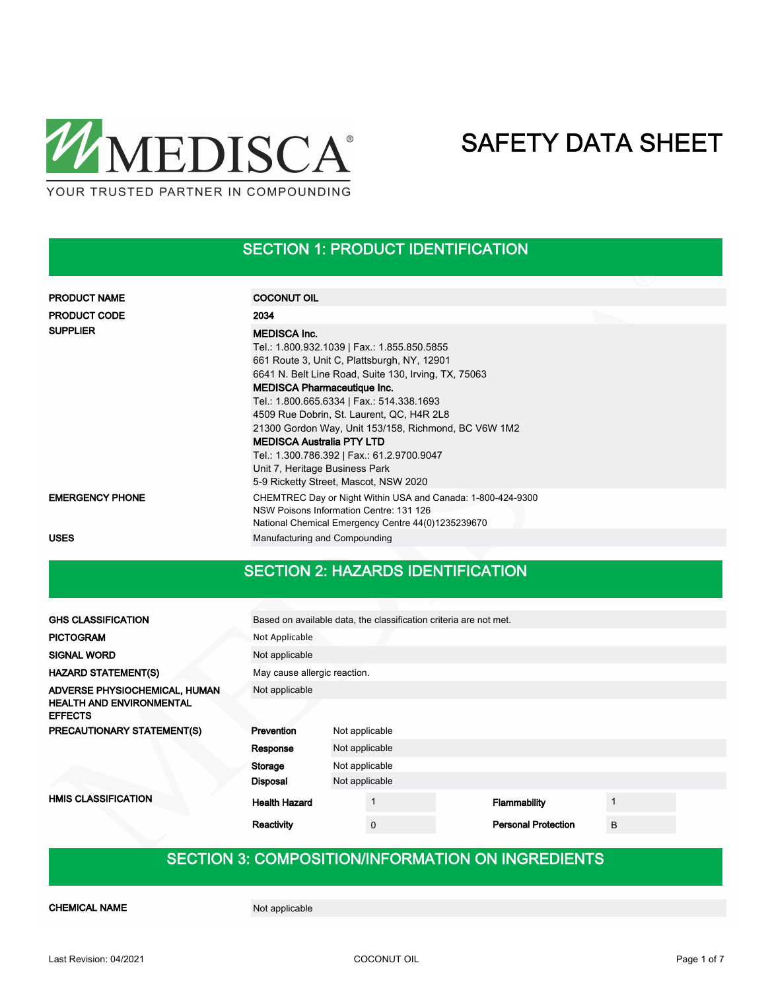

## SECTION 1: PRODUCT IDENTIFICATION

| <b>PRODUCT NAME</b>    | <b>COCONUT OIL</b>                                                                                                                                                                                                                                                                                                                                                                                                                                                                    |
|------------------------|---------------------------------------------------------------------------------------------------------------------------------------------------------------------------------------------------------------------------------------------------------------------------------------------------------------------------------------------------------------------------------------------------------------------------------------------------------------------------------------|
| <b>PRODUCT CODE</b>    | 2034                                                                                                                                                                                                                                                                                                                                                                                                                                                                                  |
| <b>SUPPLIER</b>        | <b>MEDISCA Inc.</b><br>Tel.: 1.800.932.1039   Fax.: 1.855.850.5855<br>661 Route 3, Unit C, Plattsburgh, NY, 12901<br>6641 N. Belt Line Road, Suite 130, Irving, TX, 75063<br><b>MEDISCA Pharmaceutique Inc.</b><br>Tel.: 1.800.665.6334   Fax.: 514.338.1693<br>4509 Rue Dobrin, St. Laurent, QC, H4R 2L8<br>21300 Gordon Way, Unit 153/158, Richmond, BC V6W 1M2<br><b>MEDISCA Australia PTY LTD</b><br>Tel.: 1.300.786.392   Fax.: 61.2.9700.9047<br>Unit 7, Heritage Business Park |
| <b>EMERGENCY PHONE</b> | 5-9 Ricketty Street, Mascot, NSW 2020<br>CHEMTREC Day or Night Within USA and Canada: 1-800-424-9300<br>NSW Poisons Information Centre: 131 126<br>National Chemical Emergency Centre 44(0)1235239670                                                                                                                                                                                                                                                                                 |
| <b>USES</b>            | Manufacturing and Compounding                                                                                                                                                                                                                                                                                                                                                                                                                                                         |

### SECTION 2: HAZARDS IDENTIFICATION

| <b>GHS CLASSIFICATION</b>                         | Based on available data, the classification criteria are not met. |                              |                            |   |  |  |  |
|---------------------------------------------------|-------------------------------------------------------------------|------------------------------|----------------------------|---|--|--|--|
| <b>PICTOGRAM</b>                                  | Not Applicable                                                    |                              |                            |   |  |  |  |
| <b>SIGNAL WORD</b>                                | Not applicable                                                    |                              |                            |   |  |  |  |
| <b>HAZARD STATEMENT(S)</b>                        |                                                                   | May cause allergic reaction. |                            |   |  |  |  |
| ADVERSE PHYSIOCHEMICAL, HUMAN                     | Not applicable                                                    |                              |                            |   |  |  |  |
| <b>HEALTH AND ENVIRONMENTAL</b><br><b>EFFECTS</b> |                                                                   |                              |                            |   |  |  |  |
| PRECAUTIONARY STATEMENT(S)                        | Prevention                                                        | Not applicable               |                            |   |  |  |  |
|                                                   | Response                                                          | Not applicable               |                            |   |  |  |  |
|                                                   | Storage                                                           | Not applicable               |                            |   |  |  |  |
|                                                   | <b>Disposal</b>                                                   | Not applicable               |                            |   |  |  |  |
| <b>HMIS CLASSIFICATION</b>                        | <b>Health Hazard</b>                                              |                              | Flammability               | 1 |  |  |  |
|                                                   | Reactivity                                                        | $\mathbf 0$                  | <b>Personal Protection</b> | B |  |  |  |

## SECTION 3: COMPOSITION/INFORMATION ON INGREDIENTS

CHEMICAL NAME Not applicable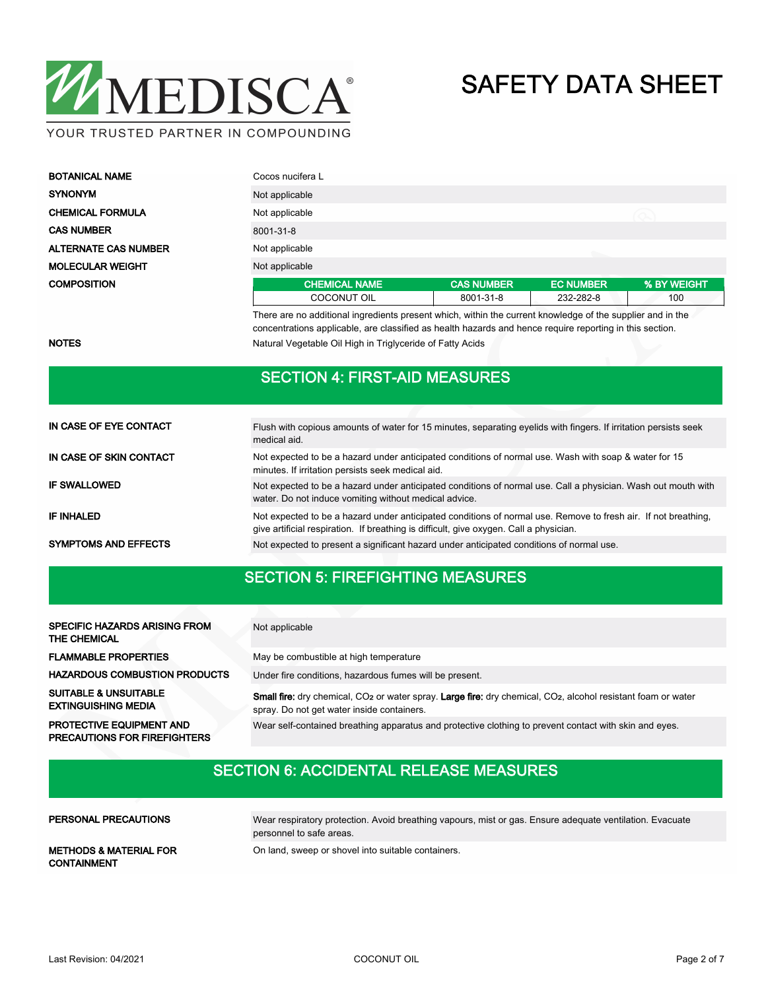

| <b>BOTANICAL NAME</b>       | Cocos nucifera L     |                   |                  |             |
|-----------------------------|----------------------|-------------------|------------------|-------------|
| <b>SYNONYM</b>              | Not applicable       |                   |                  |             |
| <b>CHEMICAL FORMULA</b>     | Not applicable       |                   |                  |             |
| <b>CAS NUMBER</b>           | 8001-31-8            |                   |                  |             |
| <b>ALTERNATE CAS NUMBER</b> | Not applicable       |                   |                  |             |
| <b>MOLECULAR WEIGHT</b>     | Not applicable       |                   |                  |             |
| <b>COMPOSITION</b>          | <b>CHEMICAL NAME</b> | <b>CAS NUMBER</b> | <b>EC NUMBER</b> | % BY WEIGHT |
|                             | <b>COCONUT OIL</b>   | 8001-31-8         | 232-282-8        | 100         |

There are no additional ingredients present which, within the current knowledge of the supplier and in the concentrations applicable, are classified as health hazards and hence require reporting in this section. NOTES Natural Vegetable Oil High in Triglyceride of Fatty Acids

### SECTION 4: FIRST-AID MEASURES

| IN CASE OF EYE CONTACT      | Flush with copious amounts of water for 15 minutes, separating eyelids with fingers. If irritation persists seek<br>medical aid.                                                                         |
|-----------------------------|----------------------------------------------------------------------------------------------------------------------------------------------------------------------------------------------------------|
| IN CASE OF SKIN CONTACT     | Not expected to be a hazard under anticipated conditions of normal use. Wash with soap & water for 15<br>minutes. If irritation persists seek medical aid.                                               |
| <b>IF SWALLOWED</b>         | Not expected to be a hazard under anticipated conditions of normal use. Call a physician. Wash out mouth with<br>water. Do not induce vomiting without medical advice.                                   |
| <b>IF INHALED</b>           | Not expected to be a hazard under anticipated conditions of normal use. Remove to fresh air. If not breathing,<br>give artificial respiration. If breathing is difficult, give oxygen. Call a physician. |
| <b>SYMPTOMS AND EFFECTS</b> | Not expected to present a significant hazard under anticipated conditions of normal use.                                                                                                                 |

### SECTION 5: FIREFIGHTING MEASURES

| <b>SPECIFIC HAZARDS ARISING FROM</b><br>THE CHEMICAL           | Not applicable                                                                                                                                                                             |
|----------------------------------------------------------------|--------------------------------------------------------------------------------------------------------------------------------------------------------------------------------------------|
| <b>FLAMMABLE PROPERTIES</b>                                    | May be combustible at high temperature                                                                                                                                                     |
| <b>HAZARDOUS COMBUSTION PRODUCTS</b>                           | Under fire conditions, hazardous fumes will be present.                                                                                                                                    |
| <b>SUITABLE &amp; UNSUITABLE</b><br><b>EXTINGUISHING MEDIA</b> | <b>Small fire:</b> dry chemical, CO <sub>2</sub> or water spray. Large fire: dry chemical, CO <sub>2</sub> , alcohol resistant foam or water<br>spray. Do not get water inside containers. |
| <b>PROTECTIVE EQUIPMENT AND</b>                                | Wear self-contained breathing apparatus and protective clothing to prevent contact with skin and eyes.                                                                                     |

## SECTION 6: ACCIDENTAL RELEASE MEASURES

| PERSONAL PRECAUTIONS                                    | Wear respiratory protection. Avoid breathing vapours, mist or gas. Ensure adequate ventilation. Evacuate<br>personnel to safe areas. |
|---------------------------------------------------------|--------------------------------------------------------------------------------------------------------------------------------------|
| <b>METHODS &amp; MATERIAL FOR</b><br><b>CONTAINMENT</b> | On land, sweep or shovel into suitable containers.                                                                                   |

PRECAUTIONS FOR FIREFIGHTERS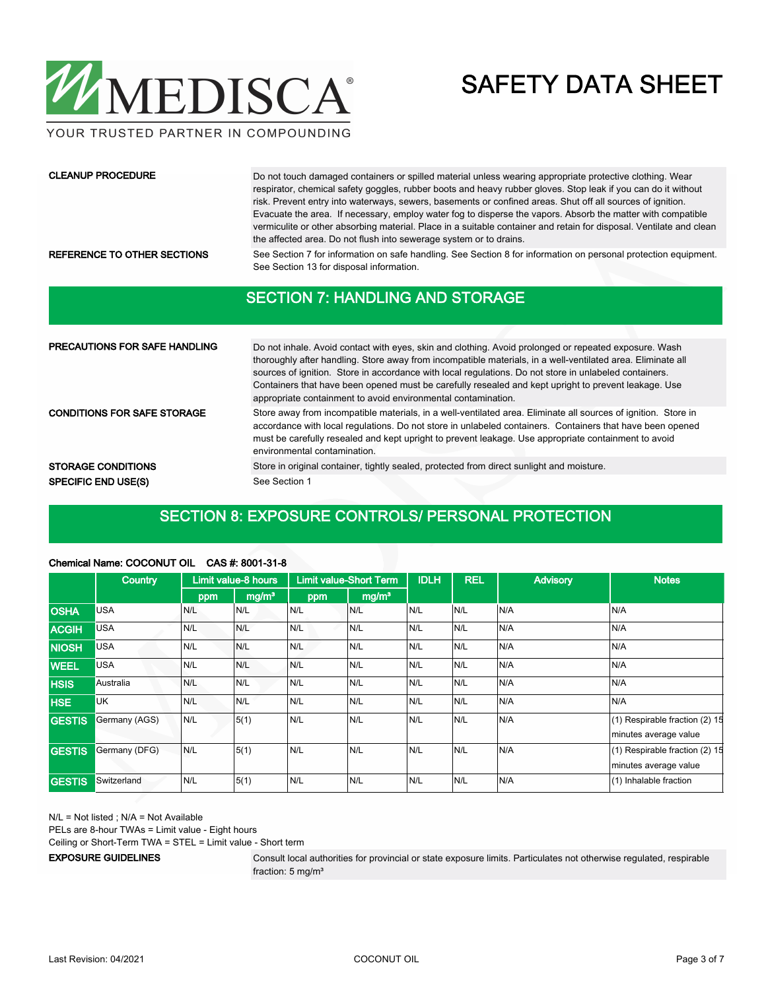

YOUR TRUSTED PARTNER IN COMPOUNDING

### CLEANUP PROCEDURE

Do not touch damaged containers or spilled material unless wearing appropriate protective clothing. Wear respirator, chemical safety goggles, rubber boots and heavy rubber gloves. Stop leak if you can do it without risk. Prevent entry into waterways, sewers, basements or confined areas. Shut off all sources of ignition. Evacuate the area. If necessary, employ water fog to disperse the vapors. Absorb the matter with compatible vermiculite or other absorbing material. Place in a suitable container and retain for disposal. Ventilate and clean the affected area. Do not flush into sewerage system or to drains.

REFERENCE TO OTHER SECTIONS See Section 7 for information on safe handling. See Section 8 for information on personal protection equipment. See Section 13 for disposal information.

### SECTION 7: HANDLING AND STORAGE

| <b>PRECAUTIONS FOR SAFE HANDLING</b> | Do not inhale. Avoid contact with eyes, skin and clothing. Avoid prolonged or repeated exposure. Wash<br>thoroughly after handling. Store away from incompatible materials, in a well-ventilated area. Eliminate all<br>sources of ignition. Store in accordance with local regulations. Do not store in unlabeled containers.<br>Containers that have been opened must be carefully resealed and kept upright to prevent leakage. Use<br>appropriate containment to avoid environmental contamination. |  |  |  |  |
|--------------------------------------|---------------------------------------------------------------------------------------------------------------------------------------------------------------------------------------------------------------------------------------------------------------------------------------------------------------------------------------------------------------------------------------------------------------------------------------------------------------------------------------------------------|--|--|--|--|
| <b>CONDITIONS FOR SAFE STORAGE</b>   | Store away from incompatible materials, in a well-ventilated area. Eliminate all sources of ignition. Store in<br>accordance with local regulations. Do not store in unlabeled containers. Containers that have been opened<br>must be carefully resealed and kept upright to prevent leakage. Use appropriate containment to avoid<br>environmental contamination.                                                                                                                                     |  |  |  |  |
| STORAGE CONDITIONS                   | Store in original container, tightly sealed, protected from direct sunlight and moisture.                                                                                                                                                                                                                                                                                                                                                                                                               |  |  |  |  |
| <b>SPECIFIC END USE(S)</b>           | See Section 1                                                                                                                                                                                                                                                                                                                                                                                                                                                                                           |  |  |  |  |

### SECTION 8: EXPOSURE CONTROLS/ PERSONAL PROTECTION

|               | 01101111041 1 141110. 0000110 1 OIL<br>$V = T. V V I V I V$ |     |                               |     |                   |            |                 |              |                                                         |
|---------------|-------------------------------------------------------------|-----|-------------------------------|-----|-------------------|------------|-----------------|--------------|---------------------------------------------------------|
|               | Limit value-8 hours<br>Country                              |     | <b>Limit value-Short Term</b> |     | <b>IDLH</b>       | <b>REL</b> | <b>Advisory</b> | <b>Notes</b> |                                                         |
|               |                                                             | ppm | mg/m <sup>3</sup>             | ppm | mg/m <sup>3</sup> |            |                 |              |                                                         |
| <b>OSHA</b>   | <b>USA</b>                                                  | N/L | N/L                           | N/L | N/L               | N/L        | N/L             | N/A          | N/A                                                     |
| <b>ACGIH</b>  | <b>USA</b>                                                  | N/L | N/L                           | N/L | N/L               | N/L        | N/L             | N/A          | N/A                                                     |
| <b>NIOSH</b>  | <b>USA</b>                                                  | N/L | N/L                           | N/L | N/L               | N/L        | N/L             | N/A          | N/A                                                     |
| <b>WEEL</b>   | <b>USA</b>                                                  | N/L | N/L                           | N/L | N/L               | N/L        | N/L             | N/A          | N/A                                                     |
| <b>HSIS</b>   | Australia                                                   | N/L | N/L                           | N/L | N/L               | N/L        | N/L             | N/A          | N/A                                                     |
| <b>HSE</b>    | <b>UK</b>                                                   | N/L | N/L                           | N/L | N/L               | N/L        | N/L             | N/A          | N/A                                                     |
| <b>GESTIS</b> | Germany (AGS)                                               | N/L | 5(1)                          | N/L | N/L               | N/L        | N/L             | N/A          | (1) Respirable fraction (2) 15<br>minutes average value |
| <b>GESTIS</b> | Germany (DFG)                                               | N/L | 5(1)                          | N/L | N/L               | N/L        | N/L             | N/A          | (1) Respirable fraction (2) 15<br>minutes average value |
| <b>GESTIS</b> | Switzerland                                                 | N/L | 5(1)                          | N/L | N/L               | N/L        | N/L             | N/A          | (1) Inhalable fraction                                  |

### Chemical Name: COCONUT OIL CAS #: 8001-31-8

N/L = Not listed ; N/A = Not Available

PELs are 8-hour TWAs = Limit value - Eight hours

Ceiling or Short-Term TWA = STEL = Limit value - Short term

EXPOSURE GUIDELINES

Consult local authorities for provincial or state exposure limits. Particulates not otherwise regulated, respirable fraction: 5 mg/m<sup>3</sup>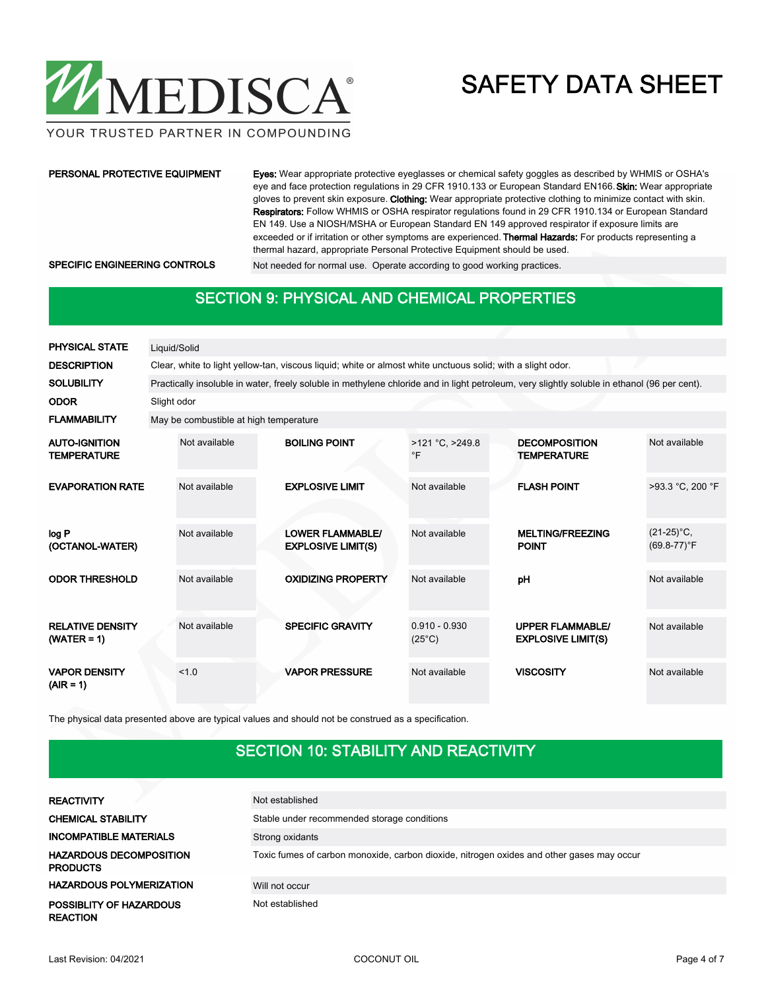

YOUR TRUSTED PARTNER IN COMPOUNDING

### PERSONAL PROTECTIVE EQUIPMENT

Eyes: Wear appropriate protective eyeglasses or chemical safety goggles as described by WHMIS or OSHA's eye and face protection regulations in 29 CFR 1910.133 or European Standard EN166. Skin: Wear appropriate gloves to prevent skin exposure. Clothing: Wear appropriate protective clothing to minimize contact with skin. Respirators: Follow WHMIS or OSHA respirator regulations found in 29 CFR 1910.134 or European Standard EN 149. Use a NIOSH/MSHA or European Standard EN 149 approved respirator if exposure limits are exceeded or if irritation or other symptoms are experienced. Thermal Hazards: For products representing a thermal hazard, appropriate Personal Protective Equipment should be used. SPECIFIC ENGINEERING CONTROLS Not needed for normal use. Operate according to good working practices.

### SECTION 9: PHYSICAL AND CHEMICAL PROPERTIES

| <b>PHYSICAL STATE</b>                      | Liquid/Solid |                                                                                                                                              |  |                                                      |                                    |  |                                                      |                                   |  |  |
|--------------------------------------------|--------------|----------------------------------------------------------------------------------------------------------------------------------------------|--|------------------------------------------------------|------------------------------------|--|------------------------------------------------------|-----------------------------------|--|--|
| <b>DESCRIPTION</b>                         |              | Clear, white to light yellow-tan, viscous liquid; white or almost white unctuous solid; with a slight odor.                                  |  |                                                      |                                    |  |                                                      |                                   |  |  |
| <b>SOLUBILITY</b>                          |              | Practically insoluble in water, freely soluble in methylene chloride and in light petroleum, very slightly soluble in ethanol (96 per cent). |  |                                                      |                                    |  |                                                      |                                   |  |  |
| <b>ODOR</b>                                | Slight odor  |                                                                                                                                              |  |                                                      |                                    |  |                                                      |                                   |  |  |
| <b>FLAMMABILITY</b>                        |              | May be combustible at high temperature                                                                                                       |  |                                                      |                                    |  |                                                      |                                   |  |  |
| <b>AUTO-IGNITION</b><br><b>TEMPERATURE</b> |              | Not available                                                                                                                                |  | <b>BOILING POINT</b>                                 | >121 °C, >249.8<br>$\circ$ F       |  | <b>DECOMPOSITION</b><br><b>TEMPERATURE</b>           | Not available                     |  |  |
| <b>EVAPORATION RATE</b>                    |              | Not available                                                                                                                                |  | <b>EXPLOSIVE LIMIT</b>                               | Not available                      |  | <b>FLASH POINT</b>                                   | >93.3 °C, 200 °F                  |  |  |
| log P<br>(OCTANOL-WATER)                   |              | Not available                                                                                                                                |  | <b>LOWER FLAMMABLE/</b><br><b>EXPLOSIVE LIMIT(S)</b> | Not available                      |  | <b>MELTING/FREEZING</b><br><b>POINT</b>              | $(21-25)$ °C,<br>$(69.8 - 77)$ °F |  |  |
| <b>ODOR THRESHOLD</b>                      |              | Not available                                                                                                                                |  | <b>OXIDIZING PROPERTY</b>                            | Not available                      |  | pH                                                   | Not available                     |  |  |
| <b>RELATIVE DENSITY</b><br>$(WATER = 1)$   |              | Not available                                                                                                                                |  | <b>SPECIFIC GRAVITY</b>                              | $0.910 - 0.930$<br>$(25^{\circ}C)$ |  | <b>UPPER FLAMMABLE/</b><br><b>EXPLOSIVE LIMIT(S)</b> | Not available                     |  |  |
| <b>VAPOR DENSITY</b><br>$(AIR = 1)$        |              | 1.0                                                                                                                                          |  | <b>VAPOR PRESSURE</b>                                | Not available                      |  | <b>VISCOSITY</b>                                     | Not available                     |  |  |

The physical data presented above are typical values and should not be construed as a specification.

## SECTION 10: STABILITY AND REACTIVITY

| <b>REACTIVITY</b>                                 | Not established                                                                           |
|---------------------------------------------------|-------------------------------------------------------------------------------------------|
| <b>CHEMICAL STABILITY</b>                         | Stable under recommended storage conditions                                               |
| <b>INCOMPATIBLE MATERIALS</b>                     | Strong oxidants                                                                           |
| <b>HAZARDOUS DECOMPOSITION</b><br><b>PRODUCTS</b> | Toxic fumes of carbon monoxide, carbon dioxide, nitrogen oxides and other gases may occur |
| <b>HAZARDOUS POLYMERIZATION</b>                   | Will not occur                                                                            |
| POSSIBLITY OF HAZARDOUS<br><b>REACTION</b>        | Not established                                                                           |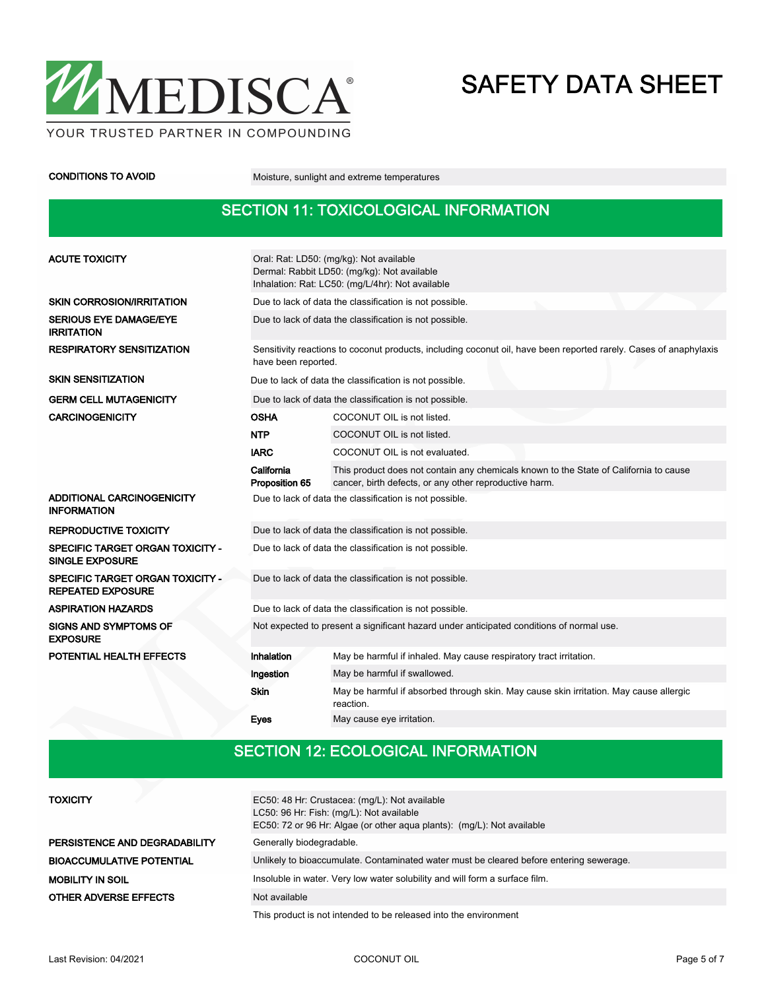

CONDITIONS TO AVOID Moisture, sunlight and extreme temperatures

### SECTION 11: TOXICOLOGICAL INFORMATION

| <b>ACUTE TOXICITY</b>                                               | Oral: Rat: LD50: (mg/kg): Not available<br>Dermal: Rabbit LD50: (mg/kg): Not available<br>Inhalation: Rat: LC50: (mg/L/4hr): Not available                                      |                                                                                                     |  |  |  |  |
|---------------------------------------------------------------------|---------------------------------------------------------------------------------------------------------------------------------------------------------------------------------|-----------------------------------------------------------------------------------------------------|--|--|--|--|
| <b>SKIN CORROSION/IRRITATION</b>                                    | Due to lack of data the classification is not possible.                                                                                                                         |                                                                                                     |  |  |  |  |
| <b>SERIOUS EYE DAMAGE/EYE</b><br><b>IRRITATION</b>                  |                                                                                                                                                                                 | Due to lack of data the classification is not possible.                                             |  |  |  |  |
| <b>RESPIRATORY SENSITIZATION</b>                                    | Sensitivity reactions to coconut products, including coconut oil, have been reported rarely. Cases of anaphylaxis<br>have been reported.                                        |                                                                                                     |  |  |  |  |
| <b>SKIN SENSITIZATION</b>                                           |                                                                                                                                                                                 | Due to lack of data the classification is not possible.                                             |  |  |  |  |
| <b>GERM CELL MUTAGENICITY</b>                                       |                                                                                                                                                                                 | Due to lack of data the classification is not possible.                                             |  |  |  |  |
| <b>CARCINOGENICITY</b>                                              | <b>OSHA</b>                                                                                                                                                                     | COCONUT OIL is not listed.                                                                          |  |  |  |  |
|                                                                     | <b>NTP</b>                                                                                                                                                                      | COCONUT OIL is not listed.                                                                          |  |  |  |  |
|                                                                     | <b>IARC</b>                                                                                                                                                                     | COCONUT OIL is not evaluated.                                                                       |  |  |  |  |
|                                                                     | California<br>This product does not contain any chemicals known to the State of California to cause<br>Proposition 65<br>cancer, birth defects, or any other reproductive harm. |                                                                                                     |  |  |  |  |
| ADDITIONAL CARCINOGENICITY<br><b>INFORMATION</b>                    | Due to lack of data the classification is not possible.                                                                                                                         |                                                                                                     |  |  |  |  |
| <b>REPRODUCTIVE TOXICITY</b>                                        | Due to lack of data the classification is not possible.                                                                                                                         |                                                                                                     |  |  |  |  |
| <b>SPECIFIC TARGET ORGAN TOXICITY -</b><br><b>SINGLE EXPOSURE</b>   | Due to lack of data the classification is not possible.                                                                                                                         |                                                                                                     |  |  |  |  |
| <b>SPECIFIC TARGET ORGAN TOXICITY -</b><br><b>REPEATED EXPOSURE</b> | Due to lack of data the classification is not possible.                                                                                                                         |                                                                                                     |  |  |  |  |
| <b>ASPIRATION HAZARDS</b>                                           | Due to lack of data the classification is not possible.                                                                                                                         |                                                                                                     |  |  |  |  |
| <b>SIGNS AND SYMPTOMS OF</b><br><b>EXPOSURE</b>                     | Not expected to present a significant hazard under anticipated conditions of normal use.                                                                                        |                                                                                                     |  |  |  |  |
| POTENTIAL HEALTH EFFECTS                                            | Inhalation                                                                                                                                                                      | May be harmful if inhaled. May cause respiratory tract irritation.                                  |  |  |  |  |
|                                                                     | Ingestion                                                                                                                                                                       | May be harmful if swallowed.                                                                        |  |  |  |  |
|                                                                     | <b>Skin</b>                                                                                                                                                                     | May be harmful if absorbed through skin. May cause skin irritation. May cause allergic<br>reaction. |  |  |  |  |
|                                                                     | Eyes                                                                                                                                                                            | May cause eye irritation.                                                                           |  |  |  |  |

### SECTION 12: ECOLOGICAL INFORMATION

| <b>TOXICITY</b>                  | EC50: 48 Hr: Crustacea: (mg/L): Not available<br>LC50: 96 Hr: Fish: (mg/L): Not available<br>EC50: 72 or 96 Hr: Algae (or other aqua plants): (mg/L): Not available |
|----------------------------------|---------------------------------------------------------------------------------------------------------------------------------------------------------------------|
| PERSISTENCE AND DEGRADABILITY    | Generally biodegradable.                                                                                                                                            |
| <b>BIOACCUMULATIVE POTENTIAL</b> | Unlikely to bioaccumulate. Contaminated water must be cleared before entering sewerage.                                                                             |
| <b>MOBILITY IN SOIL</b>          | Insoluble in water. Very low water solubility and will form a surface film.                                                                                         |
| <b>OTHER ADVERSE EFFECTS</b>     | Not available                                                                                                                                                       |
|                                  |                                                                                                                                                                     |

This product is not intended to be released into the environment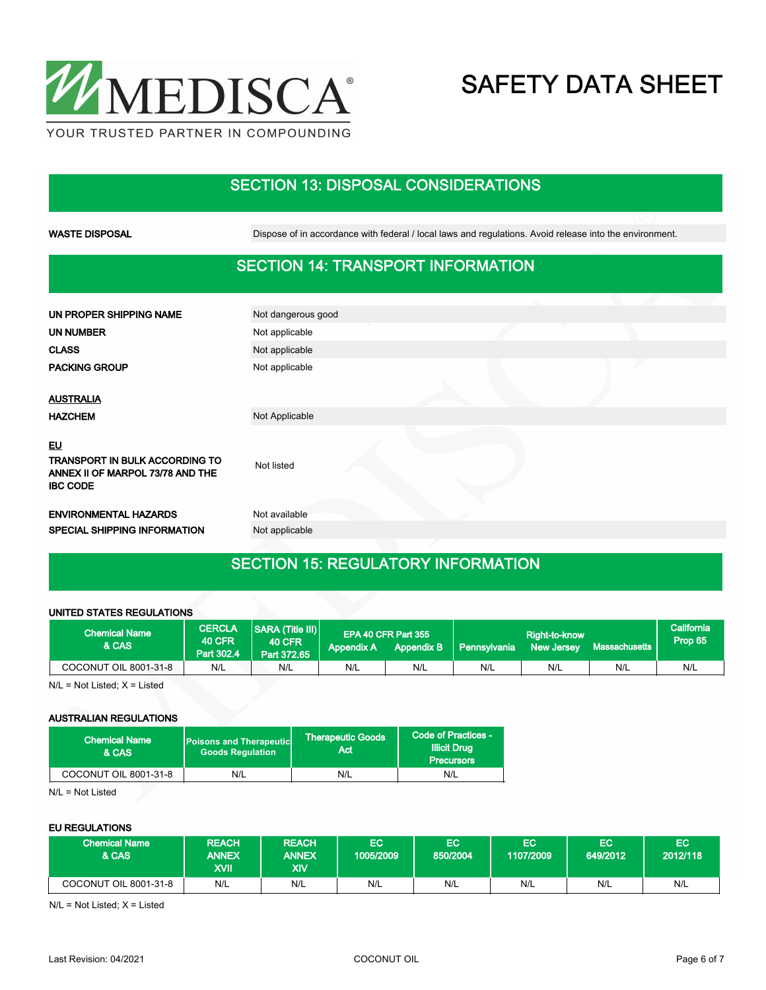

## SECTION 13: DISPOSAL CONSIDERATIONS

WASTE DISPOSAL **Dispose of in accordance with federal / local laws and regulations**. Avoid release into the environment.

### SECTION 14: TRANSPORT INFORMATION

| UN PROPER SHIPPING NAME                                                                            | Not dangerous good |
|----------------------------------------------------------------------------------------------------|--------------------|
| <b>UN NUMBER</b>                                                                                   | Not applicable     |
| <b>CLASS</b>                                                                                       | Not applicable     |
| <b>PACKING GROUP</b>                                                                               | Not applicable     |
| <b>AUSTRALIA</b>                                                                                   |                    |
| <b>HAZCHEM</b>                                                                                     | Not Applicable     |
| <u>EU</u><br>TRANSPORT IN BULK ACCORDING TO<br>ANNEX II OF MARPOL 73/78 AND THE<br><b>IBC CODE</b> | Not listed         |
| <b>ENVIRONMENTAL HAZARDS</b>                                                                       | Not available      |
| SPECIAL SHIPPING INFORMATION                                                                       | Not applicable     |
|                                                                                                    |                    |

### SECTION 15: REGULATORY INFORMATION

### UNITED STATES REGULATIONS

| <b>Chemical Name</b><br>& CAS | <b>CERCLA</b><br><b>40 CFR</b><br>Part 302.4 | <b>SARA (Title III)</b><br><b>40 CFR</b><br>Part 372.65 | <b>Appendix A</b> | EPA 40 CFR Part 355<br><b>Appendix B</b> | <b>Pennsylvania</b> | Right-to-know<br><b>New Jersey</b> | Massachusetts | <b>California</b><br>Prop 65 |
|-------------------------------|----------------------------------------------|---------------------------------------------------------|-------------------|------------------------------------------|---------------------|------------------------------------|---------------|------------------------------|
| COCONUT OIL 8001-31-8         | N/L                                          | N/L                                                     | N/L               | N/L                                      | N/L                 | N/L                                | N/L           | N/L                          |

N/L = Not Listed; X = Listed

### AUSTRALIAN REGULATIONS

| <b>Chemical Name</b><br>& CAS | <b>Poisons and Therapeutic</b><br><b>Goods Requlation</b> | <b>Therapeutic Goods</b><br>Act | Code of Practices -<br><b>Illicit Drug</b><br><b>Precursors</b> |
|-------------------------------|-----------------------------------------------------------|---------------------------------|-----------------------------------------------------------------|
| COCONUT OIL 8001-31-8         | N/L                                                       | N/L                             | N/L                                                             |

N/L = Not Listed

### EU REGULATIONS

| <b>Chemical Name</b><br>& CAS | <b>REACH</b><br><b>ANNEX</b><br><b>IIVX</b> | <b>REACH</b><br><b>ANNEX</b><br>XIV | EC<br>1005/2009 | EC<br>850/2004 | ЕC<br>1107/2009 | EC<br>649/2012 | EC<br>2012/118 |
|-------------------------------|---------------------------------------------|-------------------------------------|-----------------|----------------|-----------------|----------------|----------------|
| COCONUT OIL 8001-31-8         | N/L                                         | N/L                                 | N/L             | N/L            | N/L             | N/L            | N/L            |

 $N/L = Not$  Listed:  $X =$  Listed